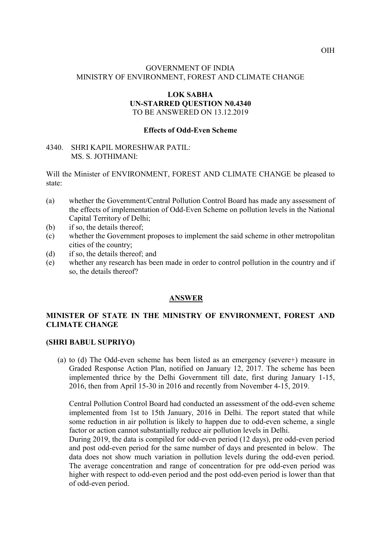# GOVERNMENT OF INDIA MINISTRY OF ENVIRONMENT, FOREST AND CLIMATE CHANGE

### LOK SABHA UN-STARRED QUESTION N0.4340 TO BE ANSWERED ON 13.12.2019

## Effects of Odd-Even Scheme

#### 4340. SHRI KAPIL MORESHWAR PATIL: MS. S. JOTHIMANI:

Will the Minister of ENVIRONMENT, FOREST AND CLIMATE CHANGE be pleased to state:

- (a) whether the Government/Central Pollution Control Board has made any assessment of the effects of implementation of Odd-Even Scheme on pollution levels in the National Capital Territory of Delhi;
- (b) if so, the details thereof;
- (c) whether the Government proposes to implement the said scheme in other metropolitan cities of the country;
- (d) if so, the details thereof; and
- (e) whether any research has been made in order to control pollution in the country and if so, the details thereof?

#### **ANSWER**

## MINISTER OF STATE IN THE MINISTRY OF ENVIRONMENT, FOREST AND CLIMATE CHANGE

#### (SHRI BABUL SUPRIYO)

(a) to (d) The Odd-even scheme has been listed as an emergency (severe+) measure in Graded Response Action Plan, notified on January 12, 2017. The scheme has been implemented thrice by the Delhi Government till date, first during January 1-15, 2016, then from April 15-30 in 2016 and recently from November 4-15, 2019.

Central Pollution Control Board had conducted an assessment of the odd-even scheme implemented from 1st to 15th January, 2016 in Delhi. The report stated that while some reduction in air pollution is likely to happen due to odd-even scheme, a single factor or action cannot substantially reduce air pollution levels in Delhi.

During 2019, the data is compiled for odd-even period (12 days), pre odd-even period and post odd-even period for the same number of days and presented in below. The data does not show much variation in pollution levels during the odd-even period. The average concentration and range of concentration for pre odd-even period was higher with respect to odd-even period and the post odd-even period is lower than that of odd-even period.